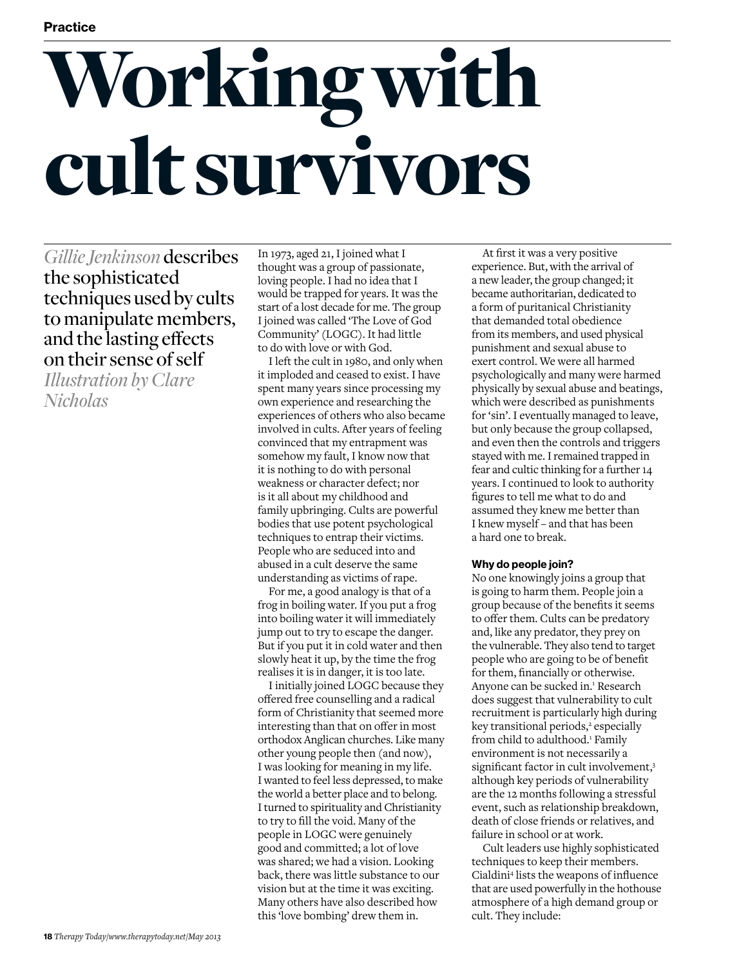# Working with cult survivors

*Gillie Jenkinson* describes the sophisticated techniques used by cults to manipulate members, and the lasting effects on their sense of self

*Illustration by Clare Nicholas*

In 1973, aged 21, I joined what I thought was a group of passionate, loving people. I had no idea that I would be trapped for years. It was the start of a lost decade for me. The group I joined was called 'The Love of God Community' (LOGC). It had little to do with love or with God.

I left the cult in 1980, and only when it imploded and ceased to exist. I have spent many years since processing my own experience and researching the experiences of others who also became involved in cults. After years of feeling convinced that my entrapment was somehow my fault, I know now that it is nothing to do with personal weakness or character defect; nor is it all about my childhood and family upbringing. Cults are powerful bodies that use potent psychological techniques to entrap their victims. People who are seduced into and abused in a cult deserve the same understanding as victims of rape.

For me, a good analogy is that of a frog in boiling water. If you put a frog into boiling water it will immediately jump out to try to escape the danger. But if you put it in cold water and then slowly heat it up, by the time the frog realises it is in danger, it is too late.

I initially joined LOGC because they offered free counselling and a radical form of Christianity that seemed more interesting than that on offer in most orthodox Anglican churches. Like many other young people then (and now), I was looking for meaning in my life. I wanted to feel less depressed, to make the world a better place and to belong. I turned to spirituality and Christianity to try to fill the void. Many of the people in LOGC were genuinely good and committed; a lot of love was shared; we had a vision. Looking back, there was little substance to our vision but at the time it was exciting. Many others have also described how this 'love bombing' drew them in.

At first it was a very positive experience. But, with the arrival of a new leader, the group changed; it became authoritarian, dedicated to a form of puritanical Christianity that demanded total obedience from its members, and used physical punishment and sexual abuse to exert control. We were all harmed psychologically and many were harmed physically by sexual abuse and beatings, which were described as punishments for 'sin'. I eventually managed to leave, but only because the group collapsed, and even then the controls and triggers stayed with me. I remained trapped in fear and cultic thinking for a further 14 years. I continued to look to authority figures to tell me what to do and assumed they knew me better than I knew myself – and that has been a hard one to break.

# **Why do people join?**

No one knowingly joins a group that is going to harm them. People join a group because of the benefits it seems to offer them. Cults can be predatory and, like any predator, they prey on the vulnerable. They also tend to target people who are going to be of benefit for them, financially or otherwise. Anyone can be sucked in.<sup>1</sup> Research does suggest that vulnerability to cult recruitment is particularly high during key transitional periods,<sup>2</sup> especially from child to adulthood.<sup>1</sup> Family environment is not necessarily a significant factor in cult involvement,<sup>3</sup> although key periods of vulnerability are the 12 months following a stressful event, such as relationship breakdown, death of close friends or relatives, and failure in school or at work.

Cult leaders use highly sophisticated techniques to keep their members. Cialdini4 lists the weapons of influence that are used powerfully in the hothouse atmosphere of a high demand group or cult. They include: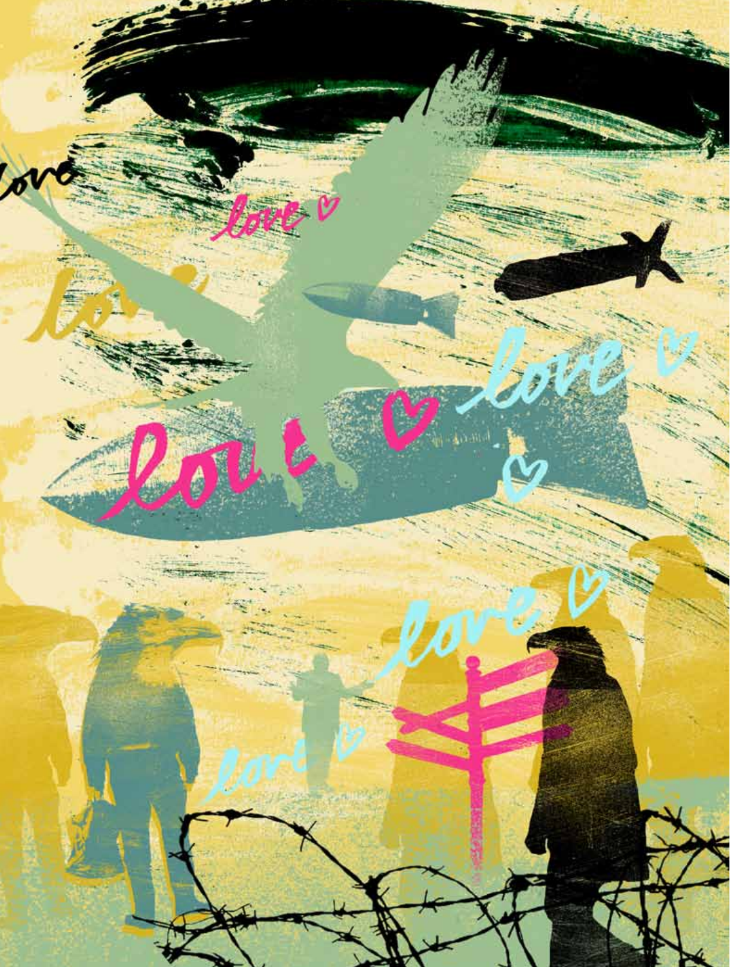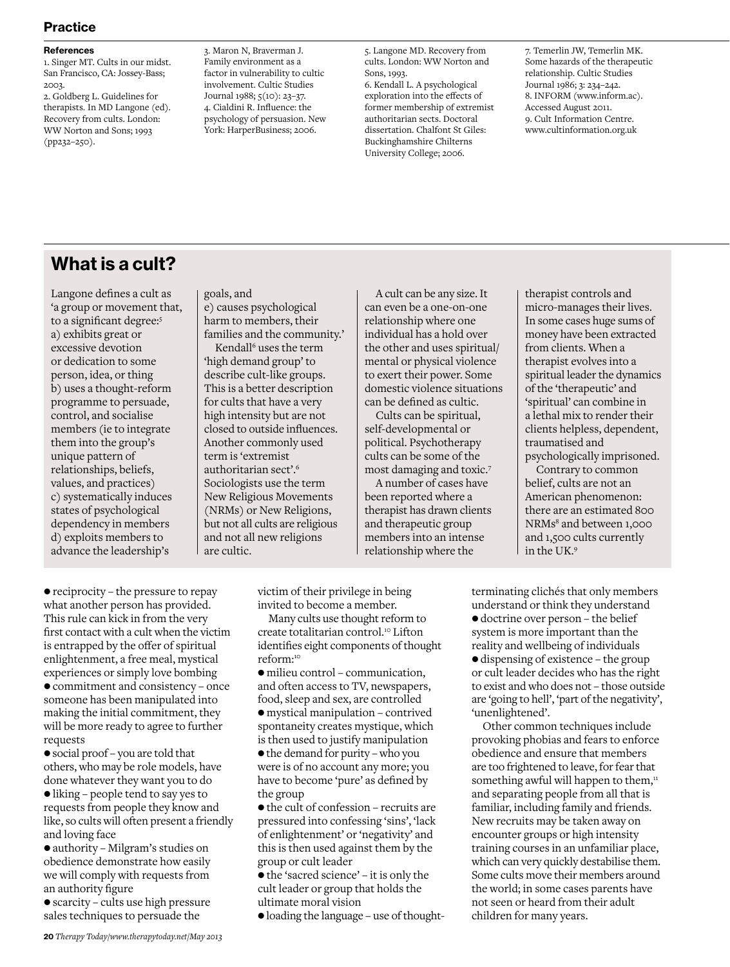### **References**

1. Singer MT. Cults in our midst. San Francisco, CA: Jossey-Bass; 2003.

2. Goldberg L. Guidelines for therapists. In MD Langone (ed). Recovery from cults. London: WW Norton and Sons; 1993 (pp232–250).

3. Maron N, Braverman J. Family environment as a factor in vulnerability to cultic involvement. Cultic Studies Journal 1988; 5(10): 23–37. 4. Cialdini R. Influence: the psychology of persuasion. New York: HarperBusiness; 2006.

5. Langone MD. Recovery from cults. London: WW Norton and Sons, 1993.

6. Kendall L. A psychological exploration into the effects of former membership of extremist authoritarian sects. Doctoral dissertation. Chalfont St Giles: Buckinghamshire Chilterns University College; 2006.

7. Temerlin JW, Temerlin MK. Some hazards of the therapeutic relationship. Cultic Studies Journal 1986; 3: 234–242. 8. INFORM (www.inform.ac). Accessed August 2011. 9. Cult Information Centre. www.cultinformation.org.uk

# **What is a cult?**

Langone defines a cult as 'a group or movement that, to a significant degree:<sup>5</sup> a) exhibits great or excessive devotion or dedication to some person, idea, or thing b) uses a thought-reform programme to persuade, control, and socialise members (ie to integrate them into the group's unique pattern of relationships, beliefs, values, and practices) c) systematically induces states of psychological dependency in members d) exploits members to advance the leadership's

goals, and e) causes psychological

harm to members, their families and the community.'

Kendall<sup>6</sup> uses the term 'high demand group' to describe cult-like groups. This is a better description for cults that have a very high intensity but are not closed to outside influences. Another commonly used term is 'extremist authoritarian sect'.6 Sociologists use the term New Religious Movements (NRMs) or New Religions, but not all cults are religious and not all new religions are cultic.

A cult can be any size. It can even be a one-on-one relationship where one individual has a hold over the other and uses spiritual/ mental or physical violence to exert their power. Some domestic violence situations can be defined as cultic.

Cults can be spiritual, self-developmental or political. Psychotherapy cults can be some of the most damaging and toxic.7

A number of cases have been reported where a therapist has drawn clients and therapeutic group members into an intense relationship where the

therapist controls and micro-manages their lives. In some cases huge sums of money have been extracted from clients. When a therapist evolves into a spiritual leader the dynamics of the 'therapeutic' and 'spiritual' can combine in a lethal mix to render their clients helpless, dependent, traumatised and psychologically imprisoned.

Contrary to common belief, cults are not an American phenomenon: there are an estimated 800 NRMs8 and between 1,000 and 1,500 cults currently in the UK.9

• reciprocity – the pressure to repay what another person has provided. This rule can kick in from the very first contact with a cult when the victim is entrapped by the offer of spiritual enlightenment, a free meal, mystical experiences or simply love bombing • commitment and consistency – once someone has been manipulated into making the initial commitment, they will be more ready to agree to further requests

•social proof – you are told that others, who may be role models, have done whatever they want you to do

• liking – people tend to say yes to requests from people they know and like, so cults will often present a friendly and loving face

• authority – Milgram's studies on obedience demonstrate how easily we will comply with requests from an authority figure

• scarcity – cults use high pressure sales techniques to persuade the

victim of their privilege in being invited to become a member.

Many cults use thought reform to create totalitarian control.<sup>10</sup> Lifton identifies eight components of thought reform:10

• milieu control – communication, and often access to TV, newspapers, food, sleep and sex, are controlled

• mystical manipulation – contrived spontaneity creates mystique, which is then used to justify manipulation

 $\bullet$  the demand for purity – who you were is of no account any more; you have to become 'pure' as defined by the group

• the cult of confession – recruits are pressured into confessing 'sins', 'lack of enlightenment' or 'negativity' and this is then used against them by the group or cult leader

• the 'sacred science' – it is only the cult leader or group that holds the ultimate moral vision

•loading the language – use of thought-

terminating clichés that only members understand or think they understand • doctrine over person – the belief system is more important than the reality and wellbeing of individuals • dispensing of existence – the group or cult leader decides who has the right

to exist and who does not – those outside are 'going to hell', 'part of the negativity', 'unenlightened'.

Other common techniques include provoking phobias and fears to enforce obedience and ensure that members are too frightened to leave, for fear that something awful will happen to them,<sup>11</sup> and separating people from all that is familiar, including family and friends. New recruits may be taken away on encounter groups or high intensity training courses in an unfamiliar place, which can very quickly destabilise them. Some cults move their members around the world; in some cases parents have not seen or heard from their adult children for many years.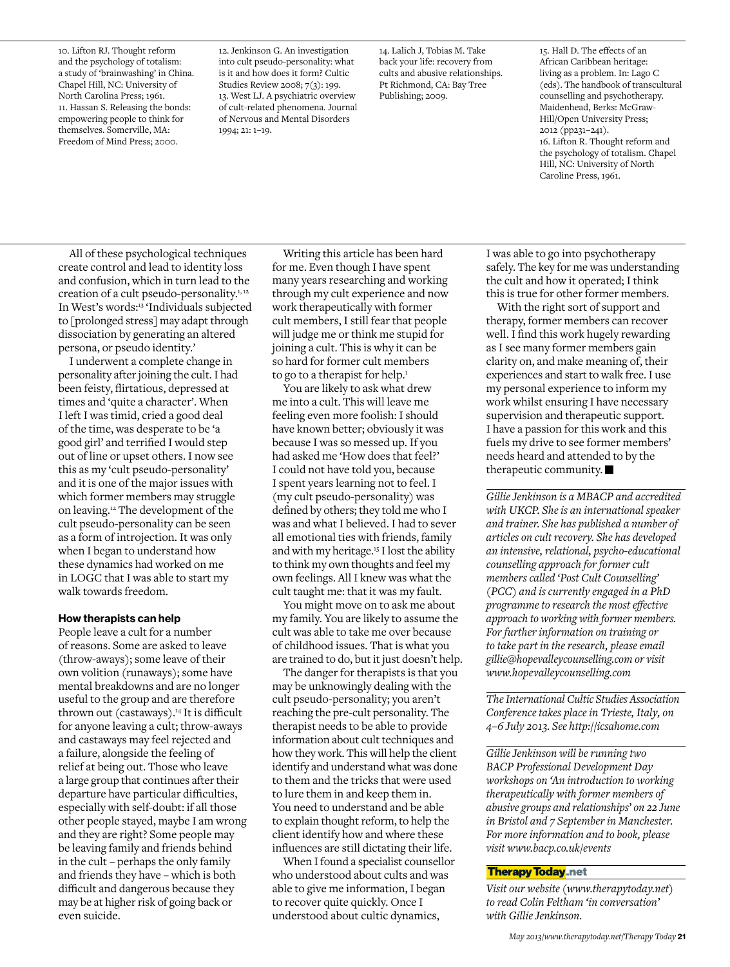10. Lifton RJ. Thought reform and the psychology of totalism: a study of 'brainwashing' in China. Chapel Hill, NC: University of North Carolina Press; 1961. 11. Hassan S. Releasing the bonds: empowering people to think for themselves. Somerville, MA: Freedom of Mind Press; 2000.

12. Jenkinson G. An investigation into cult pseudo-personality: what is it and how does it form? Cultic Studies Review 2008; 7(3): 199. 13. West LJ. A psychiatric overview of cult-related phenomena. Journal of Nervous and Mental Disorders 1994; 21: 1–19.

14. Lalich J, Tobias M. Take back your life: recovery from cults and abusive relationships. Pt Richmond, CA: Bay Tree Publishing; 2009.

15. Hall D. The effects of an African Caribbean heritage: living as a problem. In: Lago C (eds). The handbook of transcultural counselling and psychotherapy. Maidenhead, Berks: McGraw-Hill/Open University Press; 2012 (pp231–241). 16. Lifton R. Thought reform and the psychology of totalism. Chapel Hill, NC: University of North Caroline Press, 1961.

All of these psychological techniques create control and lead to identity loss and confusion, which in turn lead to the creation of a cult pseudo-personality.<sup>1,12</sup> In West's words:13 'Individuals subjected to [prolonged stress] may adapt through dissociation by generating an altered persona, or pseudo identity.'

I underwent a complete change in personality after joining the cult. I had been feisty, flirtatious, depressed at times and 'quite a character'. When I left I was timid, cried a good deal of the time, was desperate to be 'a good girl' and terrified I would step out of line or upset others. I now see this as my 'cult pseudo-personality' and it is one of the major issues with which former members may struggle on leaving.12 The development of the cult pseudo-personality can be seen as a form of introjection. It was only when I began to understand how these dynamics had worked on me in LOGC that I was able to start my walk towards freedom.

## **How therapists can help**

People leave a cult for a number of reasons. Some are asked to leave (throw-aways); some leave of their own volition (runaways); some have mental breakdowns and are no longer useful to the group and are therefore thrown out (castaways).<sup>14</sup> It is difficult for anyone leaving a cult; throw-aways and castaways may feel rejected and a failure, alongside the feeling of relief at being out. Those who leave a large group that continues after their departure have particular difficulties, especially with self-doubt: if all those other people stayed, maybe I am wrong and they are right? Some people may be leaving family and friends behind in the cult – perhaps the only family and friends they have – which is both difficult and dangerous because they may be at higher risk of going back or even suicide.

Writing this article has been hard for me. Even though I have spent many years researching and working through my cult experience and now work therapeutically with former cult members, I still fear that people will judge me or think me stupid for joining a cult. This is why it can be so hard for former cult members to go to a therapist for help.<sup>1</sup>

You are likely to ask what drew me into a cult. This will leave me feeling even more foolish: I should have known better; obviously it was because I was so messed up. If you had asked me 'How does that feel?' I could not have told you, because I spent years learning not to feel. I (my cult pseudo-personality) was defined by others; they told me who I was and what I believed. I had to sever all emotional ties with friends, family and with my heritage.15 I lost the ability to think my own thoughts and feel my own feelings. All I knew was what the cult taught me: that it was my fault.

You might move on to ask me about my family. You are likely to assume the cult was able to take me over because of childhood issues. That is what you are trained to do, but it just doesn't help.

The danger for therapists is that you may be unknowingly dealing with the cult pseudo-personality; you aren't reaching the pre-cult personality. The therapist needs to be able to provide information about cult techniques and how they work. This will help the client identify and understand what was done to them and the tricks that were used to lure them in and keep them in. You need to understand and be able to explain thought reform, to help the client identify how and where these influences are still dictating their life.

When I found a specialist counsellor who understood about cults and was able to give me information, I began to recover quite quickly. Once I understood about cultic dynamics,

I was able to go into psychotherapy safely. The key for me was understanding the cult and how it operated; I think this is true for other former members.

With the right sort of support and therapy, former members can recover well. I find this work hugely rewarding as I see many former members gain clarity on, and make meaning of, their experiences and start to walk free. I use my personal experience to inform my work whilst ensuring I have necessary supervision and therapeutic support. I have a passion for this work and this fuels my drive to see former members' needs heard and attended to by the therapeutic community.

*Gillie Jenkinson is a MBACP and accredited with UKCP. She is an international speaker and trainer. She has published a number of articles on cult recovery. She has developed an intensive, relational, psycho-educational counselling approach for former cult members called 'Post Cult Counselling' (PCC) and is currently engaged in a PhD programme to research the most effective approach to working with former members. For further information on training or to take part in the research, please email gillie@hopevalleycounselling.com or visit www.hopevalleycounselling.com*

*The International Cultic Studies Association Conference takes place in Trieste, Italy, on 4–6 July 2013. See http://icsahome.com*

*Gillie Jenkinson will be running two BACP Professional Development Day workshops on 'An introduction to working therapeutically with former members of abusive groups and relationships' on 22 June in Bristol and 7 September in Manchester. For more information and to book, please visit www.bacp.co.uk/events* 

### **Therapy Today** net

*Visit our website (www.therapytoday.net) to read Colin Feltham 'in conversation' with Gillie Jenkinson.*